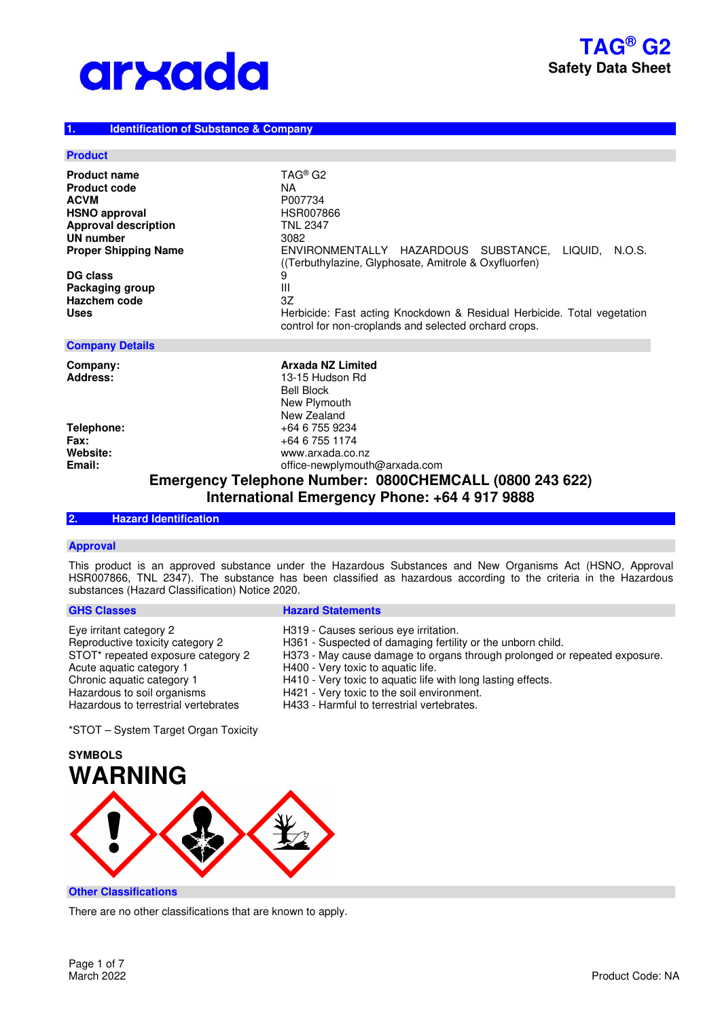### **1. Identification of Substance & Company**

#### **Product**

| <b>Product name</b><br><b>Product code</b><br><b>ACVM</b> | TAG <sup>®</sup> G2<br>NA.<br>P007734                                                                                            |  |
|-----------------------------------------------------------|----------------------------------------------------------------------------------------------------------------------------------|--|
| <b>HSNO approval</b>                                      | <b>HSR007866</b>                                                                                                                 |  |
| <b>Approval description</b>                               | <b>TNL 2347</b>                                                                                                                  |  |
| UN number                                                 | 3082                                                                                                                             |  |
| <b>Proper Shipping Name</b>                               | ENVIRONMENTALLY HAZARDOUS SUBSTANCE, LIQUID,<br>N.O.S.<br>(Terbuthylazine, Glyphosate, Amitrole & Oxyfluorfen)                   |  |
| DG class                                                  | 9                                                                                                                                |  |
| Packaging group                                           | Ш                                                                                                                                |  |
| Hazchem code                                              | 3Z                                                                                                                               |  |
| <b>Uses</b>                                               | Herbicide: Fast acting Knockdown & Residual Herbicide. Total vegetation<br>control for non-croplands and selected orchard crops. |  |
| <b>Company Details</b>                                    |                                                                                                                                  |  |
| Company:<br>Address:                                      | <b>Arxada NZ Limited</b><br>13-15 Hudson Rd<br><b>Bell Block</b><br>New Plymouth<br>New Zealand                                  |  |
| Telephone:                                                | +64 6 755 9234                                                                                                                   |  |
| <b>Fax:</b>                                               | +64 6 755 1174                                                                                                                   |  |
| Website:                                                  | www.arxada.co.nz                                                                                                                 |  |

**Email:** office-newplymouth@arxada.com **Emergency Telephone Number: 0800CHEMCALL (0800 243 622) International Emergency Phone: +64 4 917 9888**

# **2. Hazard Identification**

### **Approval**

This product is an approved substance under the Hazardous Substances and New Organisms Act (HSNO, Approval HSR007866, TNL 2347). The substance has been classified as hazardous according to the criteria in the Hazardous substances (Hazard Classification) Notice 2020.

#### **GHS Classes Contract Contract Contract Contract Contract Contract Contract Contract Contract Contract Contract Contract Contract Contract Contract Contract Contract Contract Contract Contract Contract Contract Contract Co**

| Eye irritant category 2              | H319 - Causes serious eve irritation.                                     |
|--------------------------------------|---------------------------------------------------------------------------|
|                                      |                                                                           |
| Reproductive toxicity category 2     | H361 - Suspected of damaging fertility or the unborn child.               |
| STOT* repeated exposure category 2   | H373 - May cause damage to organs through prolonged or repeated exposure. |
| Acute aguatic category 1             | H400 - Very toxic to aquatic life.                                        |
| Chronic aquatic category 1           | H410 - Very toxic to aquatic life with long lasting effects.              |
| Hazardous to soil organisms          | H421 - Very toxic to the soil environment.                                |
| Hazardous to terrestrial vertebrates | H433 - Harmful to terrestrial vertebrates.                                |
|                                      |                                                                           |

\*STOT – System Target Organ Toxicity



**Other Classifications** 

There are no other classifications that are known to apply.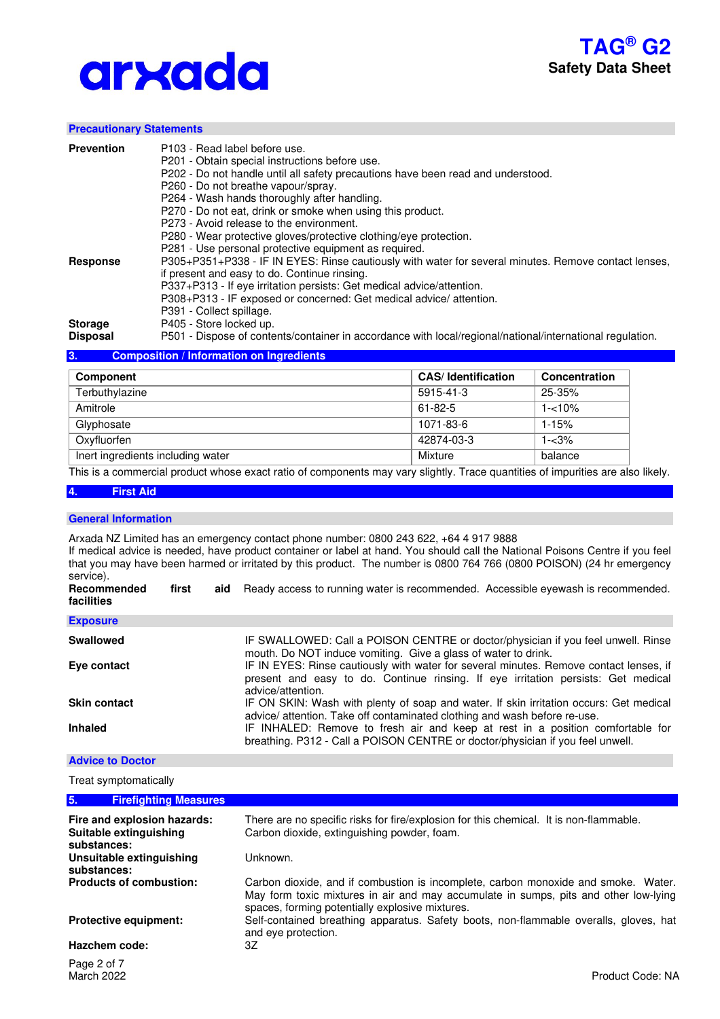

### **Precautionary Statements**

| <b>Prevention</b>                 | P103 - Read label before use.<br>P201 - Obtain special instructions before use.<br>P202 - Do not handle until all safety precautions have been read and understood.<br>P260 - Do not breathe vapour/spray.<br>P264 - Wash hands thoroughly after handling.<br>P270 - Do not eat, drink or smoke when using this product.<br>P273 - Avoid release to the environment.<br>P280 - Wear protective gloves/protective clothing/eye protection. |
|-----------------------------------|-------------------------------------------------------------------------------------------------------------------------------------------------------------------------------------------------------------------------------------------------------------------------------------------------------------------------------------------------------------------------------------------------------------------------------------------|
| Response                          | P281 - Use personal protective equipment as required.<br>P305+P351+P338 - IF IN EYES: Rinse cautiously with water for several minutes. Remove contact lenses,<br>if present and easy to do. Continue rinsing.<br>P337+P313 - If eye irritation persists: Get medical advice/attention.<br>P308+P313 - IF exposed or concerned: Get medical advice/ attention.<br>P391 - Collect spillage.                                                 |
| <b>Storage</b><br><b>Disposal</b> | P405 - Store locked up.<br>P501 - Dispose of contents/container in accordance with local/regional/national/international regulation.                                                                                                                                                                                                                                                                                                      |

## **3. Composition / Information on Ingredients**

| Component                         | <b>CAS/Identification</b> | Concentration |
|-----------------------------------|---------------------------|---------------|
| Terbuthylazine                    | 5915-41-3                 | $25 - 35%$    |
| Amitrole                          | $61 - 82 - 5$             | $1 - 10%$     |
| Glyphosate                        | 1071-83-6                 | $1 - 15%$     |
| Oxyfluorfen                       | 42874-03-3                | $1 - 3%$      |
| Inert ingredients including water | Mixture                   | balance       |

This is a commercial product whose exact ratio of components may vary slightly. Trace quantities of impurities are also likely.

#### **4. First Aid**

#### **General Information**

Arxada NZ Limited has an emergency contact phone number: 0800 243 622, +64 4 917 9888 If medical advice is needed, have product container or label at hand. You should call the National Poisons Centre if you feel that you may have been harmed or irritated by this product. The number is 0800 764 766 (0800 POISON) (24 hr emergency service). **Recommended** first aid Ready access to running water is recommended. Accessible eyewash is recommended.

| facilities          |                                                                                                                                                                                                  |
|---------------------|--------------------------------------------------------------------------------------------------------------------------------------------------------------------------------------------------|
| <b>Exposure</b>     |                                                                                                                                                                                                  |
| <b>Swallowed</b>    | IF SWALLOWED: Call a POISON CENTRE or doctor/physician if you feel unwell. Rinse<br>mouth. Do NOT induce vomiting. Give a glass of water to drink.                                               |
| Eye contact         | IF IN EYES: Rinse cautiously with water for several minutes. Remove contact lenses, if<br>present and easy to do. Continue rinsing. If eye irritation persists: Get medical<br>advice/attention. |
| <b>Skin contact</b> | IF ON SKIN: Wash with plenty of soap and water. If skin irritation occurs: Get medical<br>advice/ attention. Take off contaminated clothing and wash before re-use.                              |
| <b>Inhaled</b>      | IF INHALED: Remove to fresh air and keep at rest in a position comfortable for<br>breathing. P312 - Call a POISON CENTRE or doctor/physician if you feel unwell.                                 |

**Advice to Doctor** 

Treat symptomatically

| 5.<br><b>Firefighting Measures</b>                                   |                                                                                                                                                                                                                               |
|----------------------------------------------------------------------|-------------------------------------------------------------------------------------------------------------------------------------------------------------------------------------------------------------------------------|
| Fire and explosion hazards:<br>Suitable extinguishing<br>substances: | There are no specific risks for fire/explosion for this chemical. It is non-flammable.<br>Carbon dioxide, extinguishing powder, foam.                                                                                         |
| Unsuitable extinguishing<br>substances:                              | Unknown.                                                                                                                                                                                                                      |
| <b>Products of combustion:</b>                                       | Carbon dioxide, and if combustion is incomplete, carbon monoxide and smoke. Water.<br>May form toxic mixtures in air and may accumulate in sumps, pits and other low-lying<br>spaces, forming potentially explosive mixtures. |
| <b>Protective equipment:</b>                                         | Self-contained breathing apparatus. Safety boots, non-flammable overalls, gloves, hat<br>and eye protection.                                                                                                                  |
| Hazchem code:                                                        | 3Ζ                                                                                                                                                                                                                            |
| Page 2 of 7<br>March 2022                                            | Product Code: NA                                                                                                                                                                                                              |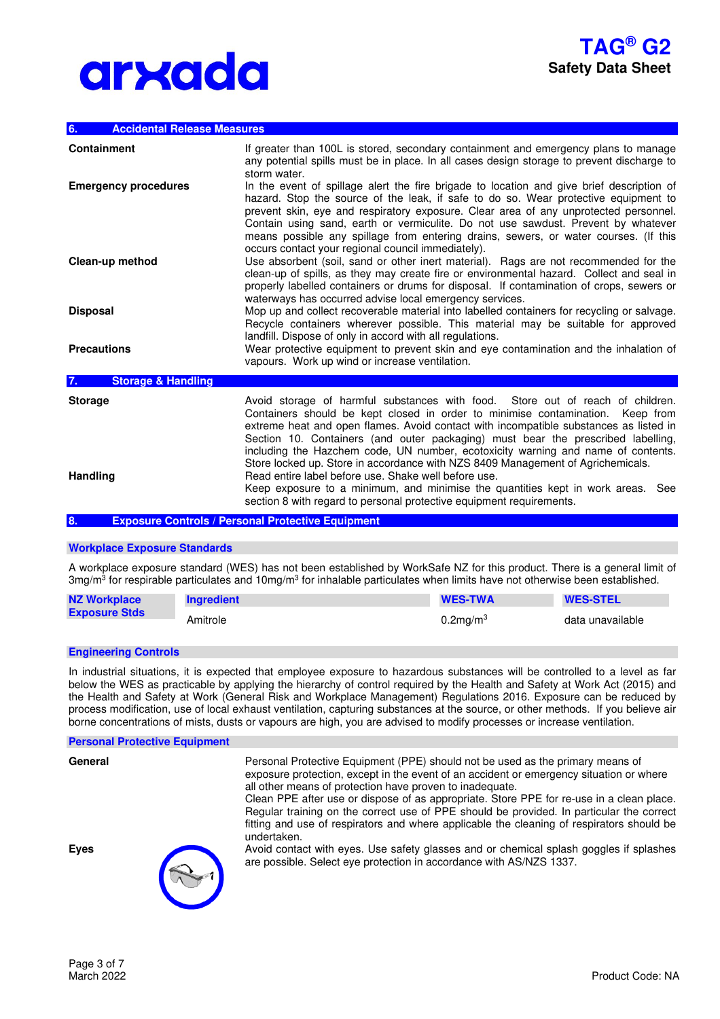#### **6. Accidental Release Measures**

| <b>Containment</b>                  | If greater than 100L is stored, secondary containment and emergency plans to manage<br>any potential spills must be in place. In all cases design storage to prevent discharge to<br>storm water.                                                                                                                                                                                                                                                                                                                       |
|-------------------------------------|-------------------------------------------------------------------------------------------------------------------------------------------------------------------------------------------------------------------------------------------------------------------------------------------------------------------------------------------------------------------------------------------------------------------------------------------------------------------------------------------------------------------------|
| <b>Emergency procedures</b>         | In the event of spillage alert the fire brigade to location and give brief description of<br>hazard. Stop the source of the leak, if safe to do so. Wear protective equipment to<br>prevent skin, eye and respiratory exposure. Clear area of any unprotected personnel.<br>Contain using sand, earth or vermiculite. Do not use sawdust. Prevent by whatever<br>means possible any spillage from entering drains, sewers, or water courses. (If this<br>occurs contact your regional council immediately).             |
| Clean-up method                     | Use absorbent (soil, sand or other inert material). Rags are not recommended for the<br>clean-up of spills, as they may create fire or environmental hazard. Collect and seal in<br>properly labelled containers or drums for disposal. If contamination of crops, sewers or<br>waterways has occurred advise local emergency services.                                                                                                                                                                                 |
| <b>Disposal</b>                     | Mop up and collect recoverable material into labelled containers for recycling or salvage.<br>Recycle containers wherever possible. This material may be suitable for approved<br>landfill. Dispose of only in accord with all regulations.                                                                                                                                                                                                                                                                             |
| <b>Precautions</b>                  | Wear protective equipment to prevent skin and eye contamination and the inhalation of<br>vapours. Work up wind or increase ventilation.                                                                                                                                                                                                                                                                                                                                                                                 |
| <b>Storage &amp; Handling</b><br>7. |                                                                                                                                                                                                                                                                                                                                                                                                                                                                                                                         |
| <b>Storage</b>                      | Avoid storage of harmful substances with food. Store out of reach of children.<br>Containers should be kept closed in order to minimise contamination.<br>Keep from<br>extreme heat and open flames. Avoid contact with incompatible substances as listed in<br>Section 10. Containers (and outer packaging) must bear the prescribed labelling,<br>including the Hazchem code, UN number, ecotoxicity warning and name of contents.<br>Store locked up. Store in accordance with NZS 8409 Management of Agrichemicals. |
| <b>Handling</b>                     | Read entire label before use. Shake well before use.<br>Keep exposure to a minimum, and minimise the quantities kept in work areas. See<br>section 8 with regard to personal protective equipment requirements.                                                                                                                                                                                                                                                                                                         |

**8. Exposure Controls / Personal Protective Equipment** 

### **Workplace Exposure Standards**

A workplace exposure standard (WES) has not been established by WorkSafe NZ for this product. There is a general limit of 3mg/m<sup>3</sup> for respirable particulates and 10mg/m<sup>3</sup> for inhalable particulates when limits have not otherwise been established.

| <b>NZ Workplace</b>  | <b>Ingredient</b> | <b>WES-TWA</b> | <b>WES-STEL</b>  |
|----------------------|-------------------|----------------|------------------|
| <b>Exposure Stds</b> | Amitrole          | $0.2$ mg/m $3$ | data unavailable |

#### **Engineering Controls**

In industrial situations, it is expected that employee exposure to hazardous substances will be controlled to a level as far below the WES as practicable by applying the hierarchy of control required by the Health and Safety at Work Act (2015) and the Health and Safety at Work (General Risk and Workplace Management) Regulations 2016. Exposure can be reduced by process modification, use of local exhaust ventilation, capturing substances at the source, or other methods. If you believe air borne concentrations of mists, dusts or vapours are high, you are advised to modify processes or increase ventilation.

#### **Personal Protective Equipment**

**General <b>Personal Protective Equipment (PPE)** should not be used as the primary means of exposure protection, except in the event of an accident or emergency situation or where all other means of protection have proven to inadequate.

> Clean PPE after use or dispose of as appropriate. Store PPE for re-use in a clean place. Regular training on the correct use of PPE should be provided. In particular the correct fitting and use of respirators and where applicable the cleaning of respirators should be undertaken.

**Eyes** Avoid contact with eyes. Use safety glasses and or chemical splash goggles if splashes are possible. Select eye protection in accordance with AS/NZS 1337.



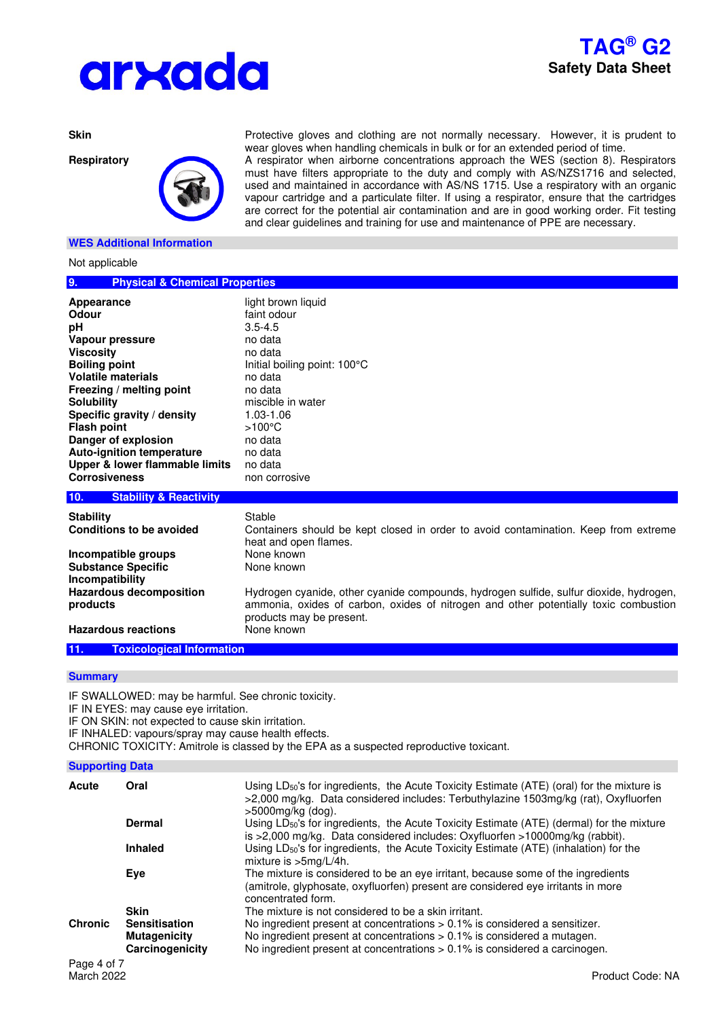



## **WES Additional Information**

Not applicable

**Skin** Protective gloves and clothing are not normally necessary. However, it is prudent to wear gloves when handling chemicals in bulk or for an extended period of time.

**Respiratory** A respirator when airborne concentrations approach the WES (section 8). Respirators must have filters appropriate to the duty and comply with AS/NZS1716 and selected, used and maintained in accordance with AS/NS 1715. Use a respiratory with an organic vapour cartridge and a particulate filter. If using a respirator, ensure that the cartridges are correct for the potential air contamination and are in good working order. Fit testing and clear guidelines and training for use and maintenance of PPE are necessary.

| <b>NOT applicable</b>                                                                                                                                                                                                                                                                                                                           |                                                                                                                                                                                                                                          |  |
|-------------------------------------------------------------------------------------------------------------------------------------------------------------------------------------------------------------------------------------------------------------------------------------------------------------------------------------------------|------------------------------------------------------------------------------------------------------------------------------------------------------------------------------------------------------------------------------------------|--|
| 9.<br><b>Physical &amp; Chemical Properties</b>                                                                                                                                                                                                                                                                                                 |                                                                                                                                                                                                                                          |  |
| Appearance<br>Odour<br>рH<br>Vapour pressure<br><b>Viscosity</b><br><b>Boiling point</b><br><b>Volatile materials</b><br>Freezing / melting point<br><b>Solubility</b><br>Specific gravity / density<br><b>Flash point</b><br>Danger of explosion<br><b>Auto-ignition temperature</b><br>Upper & lower flammable limits<br><b>Corrosiveness</b> | light brown liquid<br>faint odour<br>$3.5 - 4.5$<br>no data<br>no data<br>Initial boiling point: 100°C<br>no data<br>no data<br>miscible in water<br>$1.03 - 1.06$<br>$>100^{\circ}$ C<br>no data<br>no data<br>no data<br>non corrosive |  |
| 10.<br><b>Stability &amp; Reactivity</b>                                                                                                                                                                                                                                                                                                        |                                                                                                                                                                                                                                          |  |
| <b>Stability</b><br>Conditions to be avoided                                                                                                                                                                                                                                                                                                    | Stable<br>Containers should be kept closed in order to avoid contamination. Keep from extreme<br>heat and open flames.                                                                                                                   |  |
| Incompatible groups<br><b>Substance Specific</b><br>Incompatibility<br><b>Hazardous decomposition</b>                                                                                                                                                                                                                                           | None known<br>None known<br>Hydrogen cyanide, other cyanide compounds, hydrogen sulfide, sulfur dioxide, hydrogen,                                                                                                                       |  |
| products<br><b>Hazardous reactions</b>                                                                                                                                                                                                                                                                                                          | ammonia, oxides of carbon, oxides of nitrogen and other potentially toxic combustion<br>products may be present.<br>None known                                                                                                           |  |

# **11. Toxicological Information**

#### **Summary**

IF SWALLOWED: may be harmful. See chronic toxicity.

IF IN EYES: may cause eye irritation.

IF ON SKIN: not expected to cause skin irritation.

IF INHALED: vapours/spray may cause health effects.

CHRONIC TOXICITY: Amitrole is classed by the EPA as a suspected reproductive toxicant.

| <b>Supporting Data</b> |  |
|------------------------|--|
|                        |  |

| Acute            | Oral                 | Using LD <sub>50</sub> 's for ingredients, the Acute Toxicity Estimate (ATE) (oral) for the mixture is<br>>2,000 mg/kg. Data considered includes: Terbuthylazine 1503mg/kg (rat), Oxyfluorfen<br>$>5000$ mg/kg (dog). |
|------------------|----------------------|-----------------------------------------------------------------------------------------------------------------------------------------------------------------------------------------------------------------------|
|                  | <b>Dermal</b>        | Using LD <sub>50</sub> 's for ingredients, the Acute Toxicity Estimate (ATE) (dermal) for the mixture<br>is >2,000 mg/kg. Data considered includes: Oxyfluorfen >10000mg/kg (rabbit).                                 |
|                  | <b>Inhaled</b>       | Using LD <sub>50</sub> 's for ingredients, the Acute Toxicity Estimate (ATE) (inhalation) for the<br>mixture is >5mg/L/4h.                                                                                            |
|                  | Eye                  | The mixture is considered to be an eye irritant, because some of the ingredients<br>(amitrole, glyphosate, oxyfluorfen) present are considered eye irritants in more<br>concentrated form.                            |
|                  | <b>Skin</b>          | The mixture is not considered to be a skin irritant.                                                                                                                                                                  |
| <b>Chronic</b>   | <b>Sensitisation</b> | No ingredient present at concentrations $> 0.1\%$ is considered a sensitizer.                                                                                                                                         |
|                  | <b>Mutagenicity</b>  | No ingredient present at concentrations > 0.1% is considered a mutagen.                                                                                                                                               |
|                  | Carcinogenicity      | No ingredient present at concentrations $> 0.1\%$ is considered a carcinogen.                                                                                                                                         |
| <b>D</b> 4 . 1 7 |                      |                                                                                                                                                                                                                       |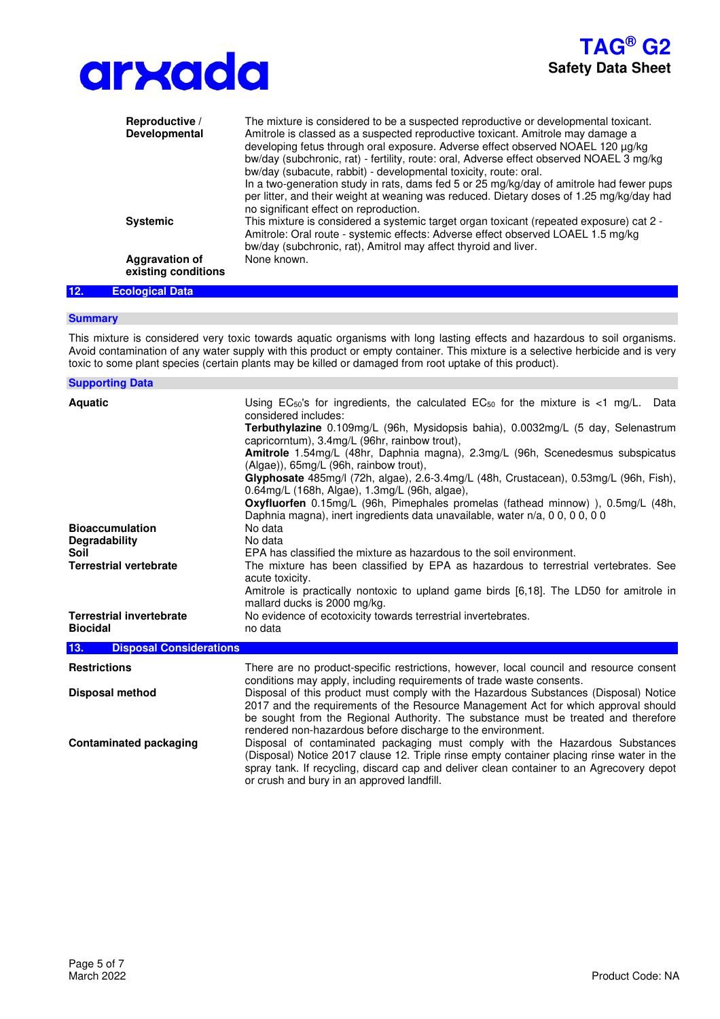



|     | Reproductive /<br>Developmental              | The mixture is considered to be a suspected reproductive or developmental toxicant.<br>Amitrole is classed as a suspected reproductive toxicant. Amitrole may damage a<br>developing fetus through oral exposure. Adverse effect observed NOAEL 120 µg/kg<br>bw/day (subchronic, rat) - fertility, route: oral, Adverse effect observed NOAEL 3 mg/kg<br>bw/day (subacute, rabbit) - developmental toxicity, route: oral.<br>In a two-generation study in rats, dams fed 5 or 25 mg/kg/day of amitrole had fewer pups<br>per litter, and their weight at weaning was reduced. Dietary doses of 1.25 mg/kg/day had<br>no significant effect on reproduction. |
|-----|----------------------------------------------|-------------------------------------------------------------------------------------------------------------------------------------------------------------------------------------------------------------------------------------------------------------------------------------------------------------------------------------------------------------------------------------------------------------------------------------------------------------------------------------------------------------------------------------------------------------------------------------------------------------------------------------------------------------|
|     | <b>Systemic</b>                              | This mixture is considered a systemic target organ toxicant (repeated exposure) cat 2 -<br>Amitrole: Oral route - systemic effects: Adverse effect observed LOAEL 1.5 mg/kg<br>bw/day (subchronic, rat), Amitrol may affect thyroid and liver.                                                                                                                                                                                                                                                                                                                                                                                                              |
|     | <b>Aggravation of</b><br>existing conditions | None known.                                                                                                                                                                                                                                                                                                                                                                                                                                                                                                                                                                                                                                                 |
| 12. | <b>Ecological Data</b>                       |                                                                                                                                                                                                                                                                                                                                                                                                                                                                                                                                                                                                                                                             |

#### **Summary**

This mixture is considered very toxic towards aquatic organisms with long lasting effects and hazardous to soil organisms. Avoid contamination of any water supply with this product or empty container. This mixture is a selective herbicide and is very toxic to some plant species (certain plants may be killed or damaged from root uptake of this product).

| <b>Supporting Data</b>                             |                                                                                                                                                                                                                                                                                                                                                                                                                                                                                                                                                                                                                                                                                                                        |
|----------------------------------------------------|------------------------------------------------------------------------------------------------------------------------------------------------------------------------------------------------------------------------------------------------------------------------------------------------------------------------------------------------------------------------------------------------------------------------------------------------------------------------------------------------------------------------------------------------------------------------------------------------------------------------------------------------------------------------------------------------------------------------|
| <b>Aquatic</b><br><b>Bioaccumulation</b>           | Using $EC_{50}$ 's for ingredients, the calculated $EC_{50}$ for the mixture is <1 mg/L. Data<br>considered includes:<br><b>Terbuthylazine</b> 0.109mg/L (96h, Mysidopsis bahia), 0.0032mg/L (5 day, Selenastrum<br>capricorntum), 3.4mg/L (96hr, rainbow trout),<br>Amitrole 1.54mg/L (48hr, Daphnia magna), 2.3mg/L (96h, Scenedesmus subspicatus<br>(Algae)), 65mg/L (96h, rainbow trout),<br>Glyphosate 485mg/l (72h, algae), 2.6-3.4mg/L (48h, Crustacean), 0.53mg/L (96h, Fish),<br>0.64mg/L (168h, Algae), 1.3mg/L (96h, algae),<br>Oxyfluorfen 0.15mg/L (96h, Pimephales promelas (fathead minnow) ), 0.5mg/L (48h,<br>Daphnia magna), inert ingredients data unavailable, water n/a, 0 0, 0 0, 0 0<br>No data |
| <b>Degradability</b>                               | No data                                                                                                                                                                                                                                                                                                                                                                                                                                                                                                                                                                                                                                                                                                                |
| Soil                                               | EPA has classified the mixture as hazardous to the soil environment.                                                                                                                                                                                                                                                                                                                                                                                                                                                                                                                                                                                                                                                   |
| <b>Terrestrial vertebrate</b>                      | The mixture has been classified by EPA as hazardous to terrestrial vertebrates. See<br>acute toxicity.<br>Amitrole is practically nontoxic to upland game birds [6,18]. The LD50 for amitrole in<br>mallard ducks is 2000 mg/kg.                                                                                                                                                                                                                                                                                                                                                                                                                                                                                       |
| <b>Terrestrial invertebrate</b><br><b>Biocidal</b> | No evidence of ecotoxicity towards terrestrial invertebrates.<br>no data                                                                                                                                                                                                                                                                                                                                                                                                                                                                                                                                                                                                                                               |
| 13.<br><b>Disposal Considerations</b>              |                                                                                                                                                                                                                                                                                                                                                                                                                                                                                                                                                                                                                                                                                                                        |
| <b>Restrictions</b>                                | There are no product-specific restrictions, however, local council and resource consent<br>conditions may apply, including requirements of trade waste consents.                                                                                                                                                                                                                                                                                                                                                                                                                                                                                                                                                       |
| <b>Disposal method</b>                             | Disposal of this product must comply with the Hazardous Substances (Disposal) Notice<br>2017 and the requirements of the Resource Management Act for which approval should<br>be sought from the Regional Authority. The substance must be treated and therefore<br>rendered non-hazardous before discharge to the environment.                                                                                                                                                                                                                                                                                                                                                                                        |
| <b>Contaminated packaging</b>                      | Disposal of contaminated packaging must comply with the Hazardous Substances<br>(Disposal) Notice 2017 clause 12. Triple rinse empty container placing rinse water in the<br>spray tank. If recycling, discard cap and deliver clean container to an Agrecovery depot<br>or crush and bury in an approved landfill.                                                                                                                                                                                                                                                                                                                                                                                                    |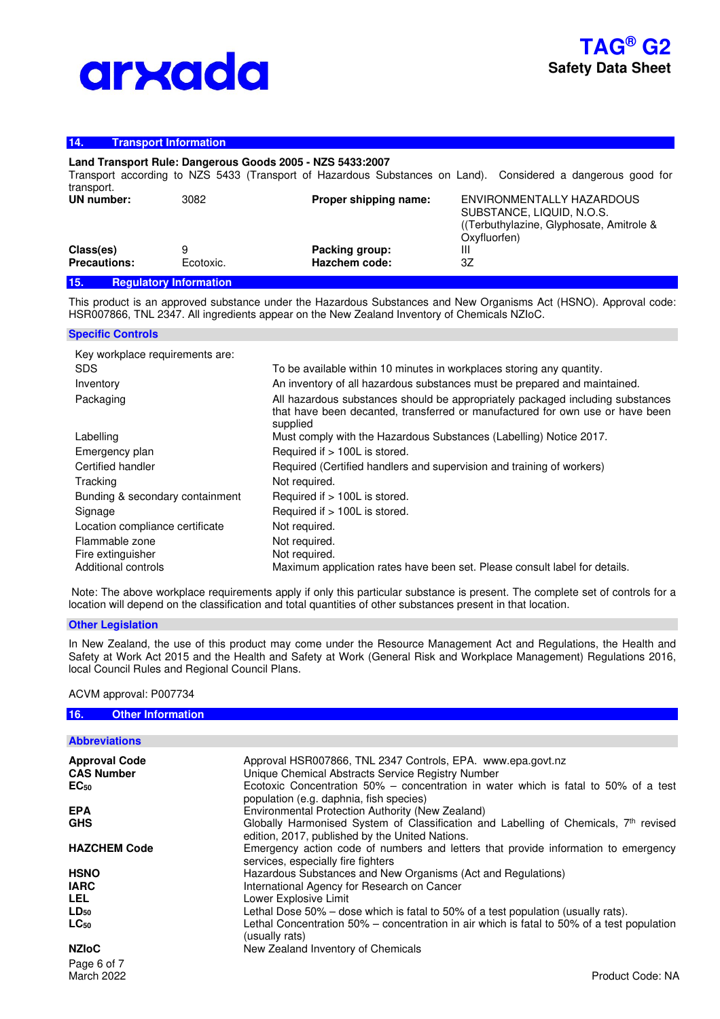## **14. Transport Information**

# **Land Transport Rule: Dangerous Goods 2005 - NZS 5433:2007**

Transport according to NZS 5433 (Transport of Hazardous Substances on Land). Considered a dangerous good for transport. **UN number:** 3082 **Proper shipping name:** ENVIRONMENTALLY HAZARDOUS

| 15.<br><b>Requiatory Information</b> |           |                |                                         |
|--------------------------------------|-----------|----------------|-----------------------------------------|
| <b>Precautions:</b>                  | Ecotoxic. | Hazchem code:  | 3Ζ                                      |
| Class(es)                            | 9         | Packing group: |                                         |
|                                      |           |                | Oxyfluorfen)                            |
|                                      |           |                | (Terbuthylazine, Glyphosate, Amitrole & |
|                                      |           |                | SUBSTANCE, LIQUID, N.O.S.               |

This product is an approved substance under the Hazardous Substances and New Organisms Act (HSNO). Approval code: HSR007866, TNL 2347. All ingredients appear on the New Zealand Inventory of Chemicals NZIoC.

#### **Specific Controls**

| Key workplace requirements are: |                                                                                                                                                                             |
|---------------------------------|-----------------------------------------------------------------------------------------------------------------------------------------------------------------------------|
| <b>SDS</b>                      | To be available within 10 minutes in workplaces storing any quantity.                                                                                                       |
| Inventory                       | An inventory of all hazardous substances must be prepared and maintained.                                                                                                   |
| Packaging                       | All hazardous substances should be appropriately packaged including substances<br>that have been decanted, transferred or manufactured for own use or have been<br>supplied |
| Labelling                       | Must comply with the Hazardous Substances (Labelling) Notice 2017.                                                                                                          |
| Emergency plan                  | Required if > 100L is stored.                                                                                                                                               |
| Certified handler               | Required (Certified handlers and supervision and training of workers)                                                                                                       |
| Tracking                        | Not required.                                                                                                                                                               |
| Bunding & secondary containment | Required if > 100L is stored.                                                                                                                                               |
| Signage                         | Required if > 100L is stored.                                                                                                                                               |
| Location compliance certificate | Not required.                                                                                                                                                               |
| Flammable zone                  | Not required.                                                                                                                                                               |
| Fire extinguisher               | Not required.                                                                                                                                                               |
| Additional controls             | Maximum application rates have been set. Please consult label for details.                                                                                                  |

 Note: The above workplace requirements apply if only this particular substance is present. The complete set of controls for a location will depend on the classification and total quantities of other substances present in that location.

#### **Other Legislation**

In New Zealand, the use of this product may come under the Resource Management Act and Regulations, the Health and Safety at Work Act 2015 and the Health and Safety at Work (General Risk and Workplace Management) Regulations 2016, local Council Rules and Regional Council Plans.

### ACVM approval: P007734

| 16.<br><b>Other Information</b> |                                                                                                                                                     |
|---------------------------------|-----------------------------------------------------------------------------------------------------------------------------------------------------|
|                                 |                                                                                                                                                     |
| <b>Abbreviations</b>            |                                                                                                                                                     |
| <b>Approval Code</b>            | Approval HSR007866, TNL 2347 Controls, EPA. www.epa.govt.nz                                                                                         |
| <b>CAS Number</b>               | Unique Chemical Abstracts Service Registry Number                                                                                                   |
| $EC_{50}$                       | Ecotoxic Concentration 50% – concentration in water which is fatal to 50% of a test<br>population (e.g. daphnia, fish species)                      |
| <b>EPA</b>                      | Environmental Protection Authority (New Zealand)                                                                                                    |
| <b>GHS</b>                      | Globally Harmonised System of Classification and Labelling of Chemicals, 7 <sup>th</sup> revised<br>edition, 2017, published by the United Nations. |
| <b>HAZCHEM Code</b>             | Emergency action code of numbers and letters that provide information to emergency<br>services, especially fire fighters                            |
| <b>HSNO</b>                     | Hazardous Substances and New Organisms (Act and Regulations)                                                                                        |
| <b>IARC</b>                     | International Agency for Research on Cancer                                                                                                         |
| LEL.                            | Lower Explosive Limit                                                                                                                               |
| $LD_{50}$                       | Lethal Dose 50% – dose which is fatal to 50% of a test population (usually rats).                                                                   |
| $LC_{50}$                       | Lethal Concentration 50% – concentration in air which is fatal to 50% of a test population<br>(usually rats)                                        |
| <b>NZIoC</b>                    | New Zealand Inventory of Chemicals                                                                                                                  |
| Page 6 of 7                     |                                                                                                                                                     |
| <b>March 2022</b>               | Product Code: NA                                                                                                                                    |